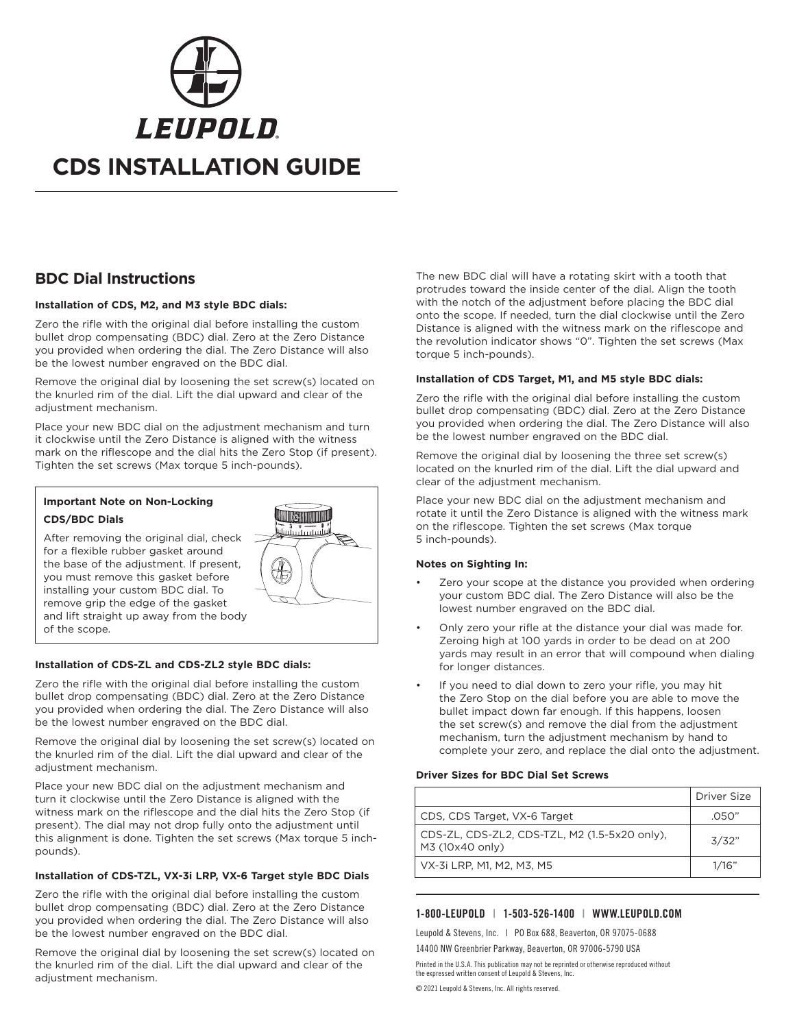

# **BDC Dial Instructions**

#### **Installation of CDS, M2, and M3 style BDC dials:**

Zero the rifle with the original dial before installing the custom bullet drop compensating (BDC) dial. Zero at the Zero Distance you provided when ordering the dial. The Zero Distance will also be the lowest number engraved on the BDC dial.

Remove the original dial by loosening the set screw(s) located on the knurled rim of the dial. Lift the dial upward and clear of the adjustment mechanism.

Place your new BDC dial on the adjustment mechanism and turn it clockwise until the Zero Distance is aligned with the witness mark on the riflescope and the dial hits the Zero Stop (if present). Tighten the set screws (Max torque 5 inch-pounds).

### **Important Note on Non-Locking CDS/BDC Dials**

After removing the original dial, check for a flexible rubber gasket around the base of the adjustment. If present, you must remove this gasket before installing your custom BDC dial. To remove grip the edge of the gasket and lift straight up away from the body of the scope.



#### **Installation of CDS-ZL and CDS-ZL2 style BDC dials:**

Zero the rifle with the original dial before installing the custom bullet drop compensating (BDC) dial. Zero at the Zero Distance you provided when ordering the dial. The Zero Distance will also be the lowest number engraved on the BDC dial.

Remove the original dial by loosening the set screw(s) located on the knurled rim of the dial. Lift the dial upward and clear of the adjustment mechanism.

Place your new BDC dial on the adjustment mechanism and turn it clockwise until the Zero Distance is aligned with the witness mark on the riflescope and the dial hits the Zero Stop (if present). The dial may not drop fully onto the adjustment until this alignment is done. Tighten the set screws (Max torque 5 inchpounds).

#### **Installation of CDS-TZL, VX-3i LRP, VX-6 Target style BDC Dials**

Zero the rifle with the original dial before installing the custom bullet drop compensating (BDC) dial. Zero at the Zero Distance you provided when ordering the dial. The Zero Distance will also be the lowest number engraved on the BDC dial.

Remove the original dial by loosening the set screw(s) located on the knurled rim of the dial. Lift the dial upward and clear of the adjustment mechanism.

The new BDC dial will have a rotating skirt with a tooth that protrudes toward the inside center of the dial. Align the tooth with the notch of the adjustment before placing the BDC dial onto the scope. If needed, turn the dial clockwise until the Zero Distance is aligned with the witness mark on the riflescope and the revolution indicator shows "0". Tighten the set screws (Max torque 5 inch-pounds).

#### **Installation of CDS Target, M1, and M5 style BDC dials:**

Zero the rifle with the original dial before installing the custom bullet drop compensating (BDC) dial. Zero at the Zero Distance you provided when ordering the dial. The Zero Distance will also be the lowest number engraved on the BDC dial.

Remove the original dial by loosening the three set screw(s) located on the knurled rim of the dial. Lift the dial upward and clear of the adjustment mechanism.

Place your new BDC dial on the adjustment mechanism and rotate it until the Zero Distance is aligned with the witness mark on the riflescope. Tighten the set screws (Max torque 5 inch-pounds).

#### **Notes on Sighting In:**

- Zero your scope at the distance you provided when ordering your custom BDC dial. The Zero Distance will also be the lowest number engraved on the BDC dial.
- Only zero your rifle at the distance your dial was made for. Zeroing high at 100 yards in order to be dead on at 200 yards may result in an error that will compound when dialing for longer distances.
- If you need to dial down to zero your rifle, you may hit the Zero Stop on the dial before you are able to move the bullet impact down far enough. If this happens, loosen the set screw(s) and remove the dial from the adjustment mechanism, turn the adjustment mechanism by hand to complete your zero, and replace the dial onto the adjustment.

#### **Driver Sizes for BDC Dial Set Screws**

|                                                                  | Driver Size |
|------------------------------------------------------------------|-------------|
| CDS, CDS Target, VX-6 Target                                     | .050"       |
| CDS-ZL, CDS-ZL2, CDS-TZL, M2 (1.5-5x20 only),<br>M3 (10x40 only) | 3/32"       |
| VX-3i LRP, M1, M2, M3, M5                                        | 1/16"       |

#### 1-800-LEUPOLD | 1-503-526-1400 | WWW.LEUPOLD.COM

Leupold & Stevens, Inc. | PO Box 688, Beaverton, OR 97075-0688 14400 NW Greenbrier Parkway, Beaverton, OR 97006-5790 USA

Printed in the U.S.A. This publication may not be reprinted or otherwise reproduced without the expressed written consent of Leupold & Stevens, Inc.

© 2021 Leupold & Stevens, Inc. All rights reserved.